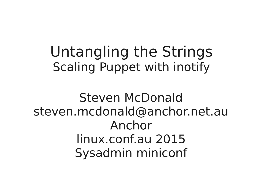#### Untangling the Strings Scaling Puppet with inotify

Steven McDonald steven.mcdonald@anchor.net.au Anchor linux.conf.au 2015 Sysadmin miniconf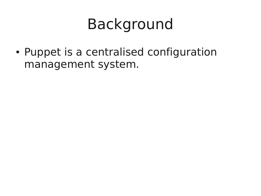## Background

• Puppet is a centralised configuration management system.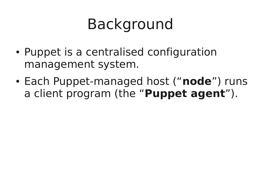# Background

- Puppet is a centralised configuration management system.
- Each Puppet-managed host ("**node**") runs a client program (the "**Puppet agent**").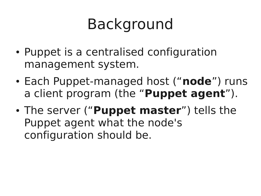# Background

- Puppet is a centralised configuration management system.
- Each Puppet-managed host ("**node**") runs a client program (the "**Puppet agent**").
- The server ("**Puppet master**") tells the Puppet agent what the node's configuration should be.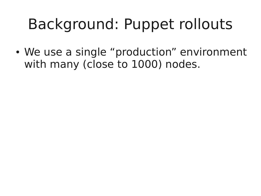• We use a single "production" environment with many (close to 1000) nodes.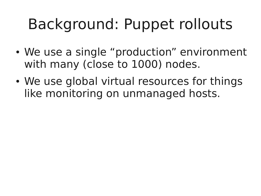- We use a single "production" environment with many (close to 1000) nodes.
- We use global virtual resources for things like monitoring on unmanaged hosts.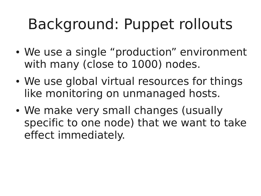- We use a single "production" environment with many (close to 1000) nodes.
- We use global virtual resources for things like monitoring on unmanaged hosts.
- We make very small changes (usually specific to one node) that we want to take effect immediately.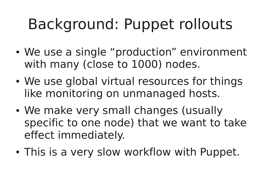- We use a single "production" environment with many (close to 1000) nodes.
- We use global virtual resources for things like monitoring on unmanaged hosts.
- We make very small changes (usually specific to one node) that we want to take effect immediately.
- This is a very slow workflow with Puppet.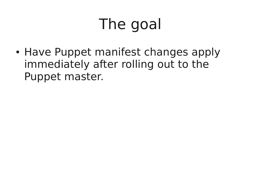# The goal

• Have Puppet manifest changes apply immediately after rolling out to the Puppet master.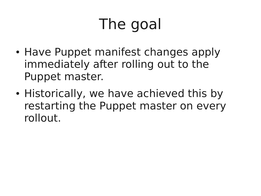# The goal

- Have Puppet manifest changes apply immediately after rolling out to the Puppet master.
- Historically, we have achieved this by restarting the Puppet master on every rollout.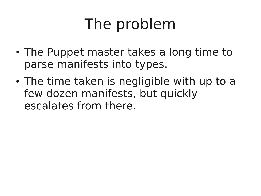# The problem

- The Puppet master takes a long time to parse manifests into types.
- The time taken is negligible with up to a few dozen manifests, but quickly escalates from there.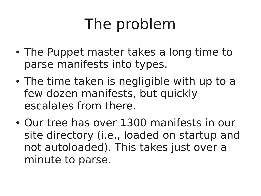# The problem

- The Puppet master takes a long time to parse manifests into types.
- The time taken is negligible with up to a few dozen manifests, but quickly escalates from there.
- Our tree has over 1300 manifests in our site directory (i.e., loaded on startup and not autoloaded). This takes just over a minute to parse.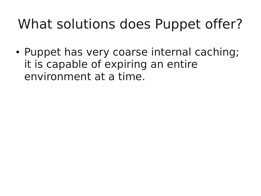• Puppet has very coarse internal caching; it is capable of expiring an entire environment at a time.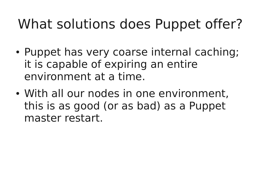- Puppet has very coarse internal caching; it is capable of expiring an entire environment at a time.
- With all our nodes in one environment, this is as good (or as bad) as a Puppet master restart.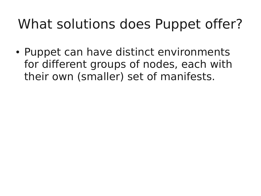• Puppet can have distinct environments for different groups of nodes, each with their own (smaller) set of manifests.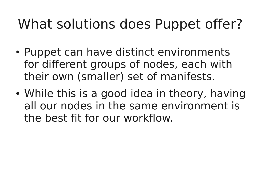- Puppet can have distinct environments for different groups of nodes, each with their own (smaller) set of manifests.
- While this is a good idea in theory, having all our nodes in the same environment is the best fit for our workflow.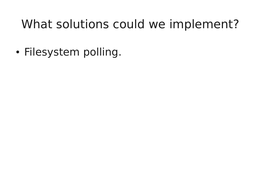• Filesystem polling.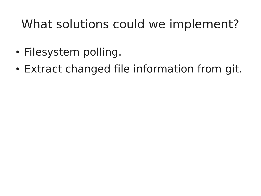- Filesystem polling.
- Extract changed file information from git.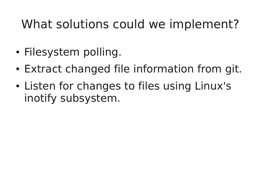- Filesystem polling.
- Extract changed file information from git.
- Listen for changes to files using Linux's inotify subsystem.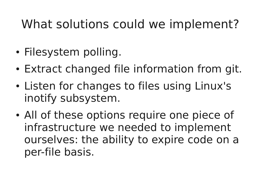- Filesystem polling.
- Extract changed file information from git.
- Listen for changes to files using Linux's inotify subsystem.
- All of these options require one piece of infrastructure we needed to implement ourselves: the ability to expire code on a per-file basis.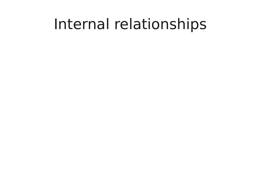### Internal relationships

- 
- 
- 
- 
- -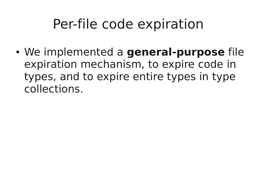### Per-file code expiration

• We implemented a **general-purpose** file expiration mechanism, to expire code in types, and to expire entire types in type collections.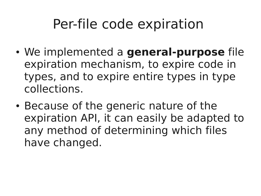### Per-file code expiration

- We implemented a **general-purpose** file expiration mechanism, to expire code in types, and to expire entire types in type collections.
- Because of the generic nature of the expiration API, it can easily be adapted to any method of determining which files have changed.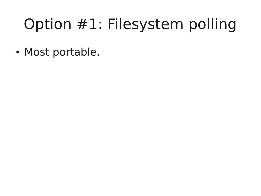# Option #1: Filesystem polling

• Most portable.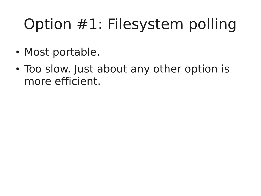# Option #1: Filesystem polling

- Most portable.
- Too slow. Just about any other option is more efficient.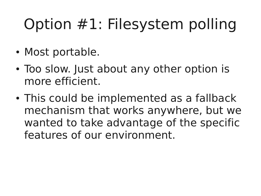# Option #1: Filesystem polling

- Most portable.
- Too slow. Just about any other option is more efficient.
- This could be implemented as a fallback mechanism that works anywhere, but we wanted to take advantage of the specific features of our environment.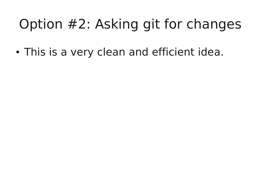• This is a very clean and efficient idea.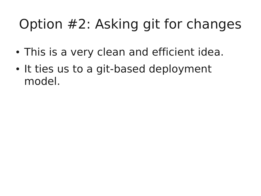- This is a very clean and efficient idea.
- It ties us to a git-based deployment model.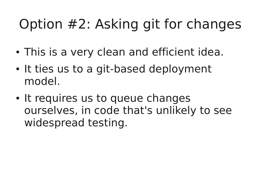- This is a very clean and efficient idea.
- It ties us to a git-based deployment model.
- It requires us to queue changes ourselves, in code that's unlikely to see widespread testing.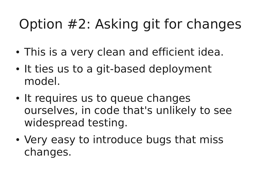- This is a very clean and efficient idea.
- It ties us to a git-based deployment model.
- It requires us to queue changes ourselves, in code that's unlikely to see widespread testing.
- Very easy to introduce bugs that miss changes.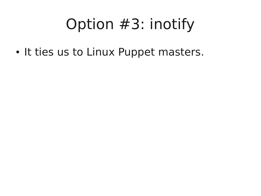• It ties us to Linux Puppet masters.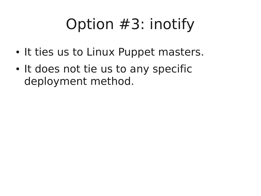- It ties us to Linux Puppet masters.
- It does not tie us to any specific deployment method.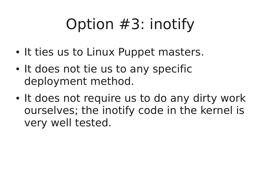- It ties us to Linux Puppet masters.
- It does not tie us to any specific deployment method.
- It does not require us to do any dirty work ourselves; the inotify code in the kernel is very well tested.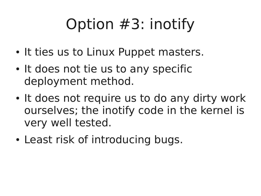- It ties us to Linux Puppet masters.
- It does not tie us to any specific deployment method.
- It does not require us to do any dirty work ourselves; the inotify code in the kernel is very well tested.
- Least risk of introducing bugs.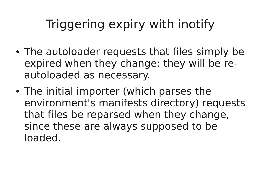- The autoloader requests that files simply be expired when they change; they will be reautoloaded as necessary.
- The initial importer (which parses the environment's manifests directory) requests that files be reparsed when they change, since these are always supposed to be loaded.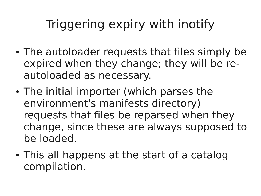- The autoloader requests that files simply be expired when they change; they will be reautoloaded as necessary.
- The initial importer (which parses the environment's manifests directory) requests that files be reparsed when they change, since these are always supposed to be loaded.
- This all happens at the start of a catalog compilation.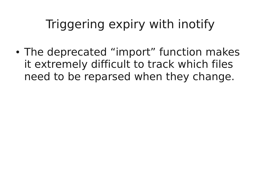• The deprecated "import" function makes it extremely difficult to track which files need to be reparsed when they change.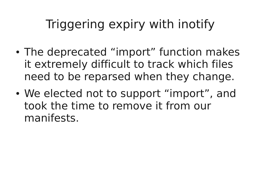- The deprecated "import" function makes it extremely difficult to track which files need to be reparsed when they change.
- We elected not to support "import", and took the time to remove it from our manifests.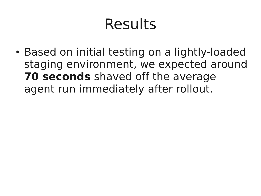## Results

• Based on initial testing on a lightly-loaded staging environment, we expected around **70 seconds** shaved off the average agent run immediately after rollout.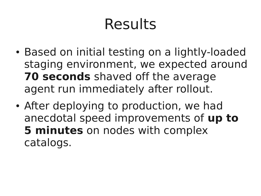# Results

- Based on initial testing on a lightly-loaded staging environment, we expected around **70 seconds** shaved off the average agent run immediately after rollout.
- After deploying to production, we had anecdotal speed improvements of **up to 5 minutes** on nodes with complex catalogs.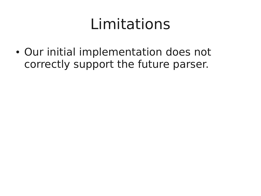• Our initial implementation does not correctly support the future parser.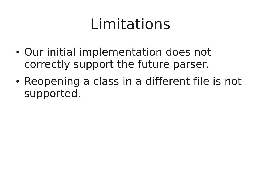- Our initial implementation does not correctly support the future parser.
- Reopening a class in a different file is not supported.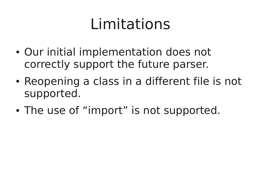- Our initial implementation does not correctly support the future parser.
- Reopening a class in a different file is not supported.
- The use of "import" is not supported.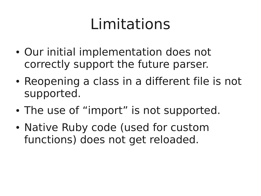- Our initial implementation does not correctly support the future parser.
- Reopening a class in a different file is not supported.
- The use of "import" is not supported.
- Native Ruby code (used for custom functions) does not get reloaded.